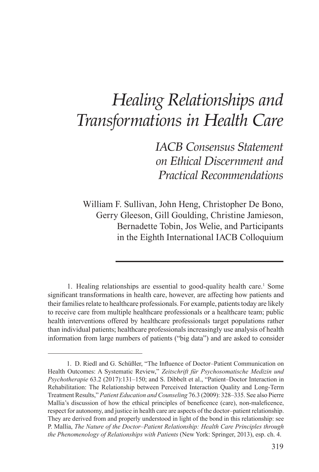# *Healing Relationships and Transformations in Health Care*

*IACB Consensus Statement on Ethical Discernment and Practical Recommendations*

William F. Sullivan, John Heng, Christopher De Bono, Gerry Gleeson, Gill Goulding, Christine Jamieson, Bernadette Tobin, Jos Welie, and Participants in the Eighth International IACB Colloquium

1. Healing relationships are essential to good-quality health care.<sup>1</sup> Some significant transformations in health care, however, are affecting how patients and their families relate to healthcare professionals. For example, patients today are likely to receive care from multiple healthcare professionals or a healthcare team; public health interventions offered by healthcare professionals target populations rather than individual patients; healthcare professionals increasingly use analysis of health information from large numbers of patients ("big data") and are asked to consider

 <sup>1.</sup> D. Riedl and G. Schüßler, "The Influence of Doctor–Patient Communication on Health Outcomes: A Systematic Review," *Zeitschrift für Psychosomatische Medizin und Psychotherapie* 63.2 (2017):131–150; and S. Dibbelt et al., "Patient–Doctor Interaction in Rehabilitation: The Relationship between Perceived Interaction Quality and Long-Term Treatment Results," *Patient Education and Counseling* 76.3 (2009): 328–335. See also Pierre Mallia's discussion of how the ethical principles of beneficence (care), non-maleficence, respect for autonomy, and justice in health care are aspects of the doctor–patient relationship. They are derived from and properly understood in light of the bond in this relationship: see P. Mallia, *The Nature of the Doctor–Patient Relationship: Health Care Principles through the Phenomenology of Relationships with Patients* (New York: Springer, 2013), esp. ch. 4.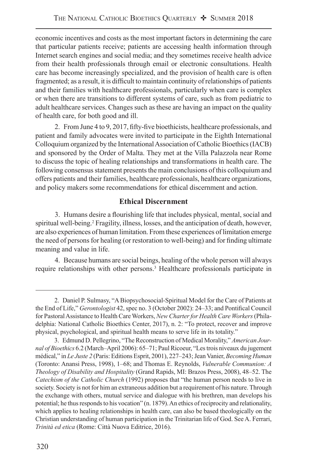economic incentives and costs as the most important factors in determining the care that particular patients receive; patients are accessing health information through Internet search engines and social media; and they sometimes receive health advice from their health professionals through email or electronic consultations. Health care has become increasingly specialized, and the provision of health care is often fragmented; as a result, it is difficult to maintain continuity of relationships of patients and their families with healthcare professionals, particularly when care is complex or when there are transitions to different systems of care, such as from pediatric to adult healthcare services. Changes such as these are having an impact on the quality of health care, for both good and ill.

 2. From June 4 to 9, 2017, fifty-five bioethicists, healthcare professionals, and patient and family advocates were invited to participate in the Eighth International Colloquium organized by the International Association of Catholic Bioethics (IACB) and sponsored by the Order of Malta. They met at the Villa Palazzola near Rome to discuss the topic of healing relationships and transformations in health care. The following consensus statement presents the main conclusions of this colloquium and offers patients and their families, healthcare professionals, healthcare organizations, and policy makers some recommendations for ethical discernment and action.

## **Ethical Discernment**

 3. Humans desire a flourishing life that includes physical, mental, social and spiritual well-being.<sup>2</sup> Fragility, illness, losses, and the anticipation of death, however, are also experiences of human limitation. From these experiences of limitation emerge the need of persons for healing (or restoration to well-being) and for finding ultimate meaning and value in life.

 4. Because humans are social beings, healing of the whole person will always require relationships with other persons.<sup>3</sup> Healthcare professionals participate in

 <sup>2.</sup> Daniel P. Sulmasy, "A Biopsychosocial-Spiritual Model for the Care of Patients at the End of Life," *Gerontologist* 42, spec no. 3 (October 2002): 24–33; and Pontifical Council for Pastoral Assistance to Health Care Workers, *New Charter for Health Care Workers* (Philadelphia: National Catholic Bioethics Center, 2017), n. 2: "To protect, recover and improve physical, psychological, and spiritual health means to serve life in its totality."

 <sup>3.</sup> Edmund D. Pellegrino, "The Reconstruction of Medical Morality," *American Journal of Bioethics* 6.2 (March–April 2006): 65–71; Paul Ricoeur, "Les trois niveaux du jugement médical," in *Le Juste 2* (Paris: Editions Esprit, 2001), 227–243; Jean Vanier, *Becoming Human* (Toronto: Anansi Press, 1998), 1–68; and Thomas E. Reynolds, *Vulnerable Communion: A Theology of Disability and Hospitality* (Grand Rapids, MI: Brazos Press, 2008), 48–52. The *Catechism of the Catholic Church* (1992) proposes that "the human person needs to live in society. Society is not for him an extraneous addition but a requirement of his nature. Through the exchange with others, mutual service and dialogue with his brethren, man develops his potential; he thus responds to his vocation" (n. 1879). An ethics of reciprocity and relationality, which applies to healing relationships in health care, can also be based theologically on the Christian understanding of human participation in the Trinitarian life of God. See A. Ferrari, *Trinità ed etica* (Rome: Città Nuova Editrice, 2016).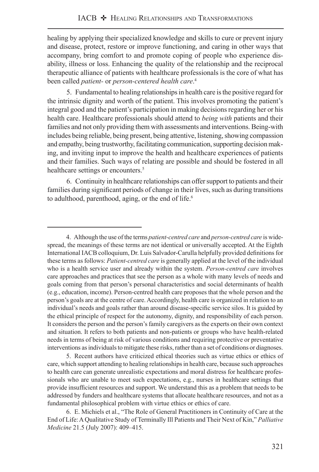healing by applying their specialized knowledge and skills to cure or prevent injury and disease, protect, restore or improve functioning, and caring in other ways that accompany, bring comfort to and promote coping of people who experience disability, illness or loss. Enhancing the quality of the relationship and the reciprocal therapeutic alliance of patients with healthcare professionals is the core of what has been called *patient-* or *person-centered health care*. 4

 5. Fundamental to healing relationships in health care is the positive regard for the intrinsic dignity and worth of the patient. This involves promoting the patient's integral good and the patient's participation in making decisions regarding her or his health care. Healthcare professionals should attend to *being with* patients and their families and not only providing them with assessments and interventions. Being-with includes being reliable, being present, being attentive, listening, showing compassion and empathy, being trustworthy, facilitating communication, supporting decision making, and inviting input to improve the health and healthcare experiences of patients and their families. Such ways of relating are possible and should be fostered in all healthcare settings or encounters.<sup>5</sup>

 6. Continuity in healthcare relationships can offer support to patients and their families during significant periods of change in their lives, such as during transitions to adulthood, parenthood, aging, or the end of life.<sup>6</sup>

 5. Recent authors have criticized ethical theories such as virtue ethics or ethics of care, which support attending to healing relationships in health care, because such approaches to health care can generate unrealistic expectations and moral distress for healthcare professionals who are unable to meet such expectations, e.g., nurses in healthcare settings that provide insufficient resources and support. We understand this as a problem that needs to be addressed by funders and healthcare systems that allocate healthcare resources, and not as a fundamental philosophical problem with virtue ethics or ethics of care.

 <sup>4.</sup> Although the use of the terms *patient-centred care* and *person-centred care* is widespread, the meanings of these terms are not identical or universally accepted. At the Eighth International IACB colloquium, Dr. Luis Salvador-Carulla helpfully provided definitions for these terms as follows: *Patient-centred care* is generally applied at the level of the individual who is a health service user and already within the system. *Person-centred care* involves care approaches and practices that see the person as a whole with many levels of needs and goals coming from that person's personal characteristics and social determinants of health (e.g., education, income). Person-centred health care proposes that the whole person and the person's goals are at the centre of care. Accordingly, health care is organized in relation to an individual's needs and goals rather than around disease-specific service silos. It is guided by the ethical principle of respect for the autonomy, dignity, and responsibility of each person. It considers the person and the person's family caregivers as the experts on their own context and situation. It refers to both patients and non-patients or groups who have health-related needs in terms of being at risk of various conditions and requiring protective or preventative interventions as individuals to mitigate these risks, rather than a set of conditions or diagnoses.

 <sup>6.</sup> E. Michiels et al., "The Role of General Practitioners in Continuity of Care at the End of Life: A Qualitative Study of Terminally Ill Patients and Their Next of Kin," *Palliative Medicine* 21.5 (July 2007): 409–415.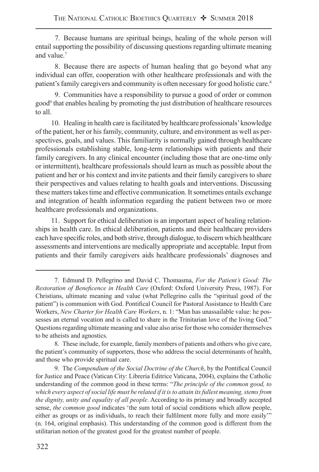7. Because humans are spiritual beings, healing of the whole person will entail supporting the possibility of discussing questions regarding ultimate meaning and value.<sup>7</sup>

 8. Because there are aspects of human healing that go beyond what any individual can offer, cooperation with other healthcare professionals and with the patient's family caregivers and community is often necessary for good holistic care.<sup>8</sup>

 9. Communities have a responsibility to pursue a good of order or common good<sup>9</sup> that enables healing by promoting the just distribution of healthcare resources to all.

10. Healing in health care is facilitated by healthcare professionals' knowledge of the patient, her or his family, community, culture, and environment as well as perspectives, goals, and values. This familiarity is normally gained through healthcare professionals establishing stable, long-term relationships with patients and their family caregivers. In any clinical encounter (including those that are one-time only or intermittent), healthcare professionals should learn as much as possible about the patient and her or his context and invite patients and their family caregivers to share their perspectives and values relating to health goals and interventions. Discussing these matters takes time and effective communication. It sometimes entails exchange and integration of health information regarding the patient between two or more healthcare professionals and organizations.

11. Support for ethical deliberation is an important aspect of healing relationships in health care. In ethical deliberation, patients and their healthcare providers each have specific roles, and both strive, through dialogue, to discern which healthcare assessments and interventions are medically appropriate and acceptable. Input from patients and their family caregivers aids healthcare professionals' diagnoses and

 <sup>7.</sup> Edmund D. Pellegrino and David C. Thomasma, *For the Patient's Good: The Restoration of Beneficence in Health Care* (Oxford: Oxford University Press, 1987). For Christians, ultimate meaning and value (what Pellegrino calls the "spiritual good of the patient") is communion with God. Pontifical Council for Pastoral Assistance to Health Care Workers, *New Charter for Health Care Workers*, n. 1: "Man has unassailable value: he possesses an eternal vocation and is called to share in the Trinitarian love of the living God." Questions regarding ultimate meaning and value also arise for those who consider themselves to be atheists and agnostics.

 <sup>8.</sup> These include, for example, family members of patients and others who give care, the patient's community of supporters, those who address the social determinants of health, and those who provide spiritual care.

 <sup>9.</sup> The *Compendium of the Social Doctrine of the Church*, by the Pontifical Council for Justice and Peace (Vatican City: Libreria Editrice Vaticana, 2004), explains the Catholic understanding of the common good in these terms: "*The principle of the common good, to which every aspect of social life must be related if it is to attain its fullest meaning, stems from the dignity, unity and equality of all people*. According to its primary and broadly accepted sense, *the common good* indicates 'the sum total of social conditions which allow people, either as groups or as individuals, to reach their fulfilment more fully and more easily'" (n. 164, original emphasis). This understanding of the common good is different from the utilitarian notion of the greatest good for the greatest number of people.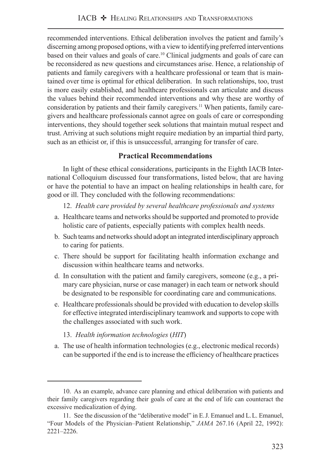recommended interventions. Ethical deliberation involves the patient and family's discerning among proposed options, with a view to identifying preferred interventions based on their values and goals of care.<sup>10</sup> Clinical judgments and goals of care can be reconsidered as new questions and circumstances arise. Hence, a relationship of patients and family caregivers with a healthcare professional or team that is maintained over time is optimal for ethical deliberation. In such relationships, too, trust is more easily established, and healthcare professionals can articulate and discuss the values behind their recommended interventions and why these are worthy of consideration by patients and their family caregivers.<sup>11</sup> When patients, family caregivers and healthcare professionals cannot agree on goals of care or corresponding interventions, they should together seek solutions that maintain mutual respect and trust. Arriving at such solutions might require mediation by an impartial third party, such as an ethicist or, if this is unsuccessful, arranging for transfer of care.

# **Practical Recommendations**

In light of these ethical considerations, participants in the Eighth IACB International Colloquium discussed four transformations, listed below, that are having or have the potential to have an impact on healing relationships in health care, for good or ill. They concluded with the following recommendations:

12. *Health care provided by several healthcare professionals and systems* 

- a. Healthcare teams and networks should be supported and promoted to provide holistic care of patients, especially patients with complex health needs.
- b. Such teams and networks should adopt an integrated interdisciplinary approach to caring for patients.
- c. There should be support for facilitating health information exchange and discussion within healthcare teams and networks.
- d. In consultation with the patient and family caregivers, someone (e.g., a primary care physician, nurse or case manager) in each team or network should be designated to be responsible for coordinating care and communications.
- e. Healthcare professionals should be provided with education to develop skills for effective integrated interdisciplinary teamwork and supports to cope with the challenges associated with such work.

#### 13. *Health information technologies* (*HIT*)

 a. The use of health information technologies (e.g., electronic medical records) can be supported if the end is to increase the efficiency of healthcare practices

<sup>10.</sup> As an example, advance care planning and ethical deliberation with patients and their family caregivers regarding their goals of care at the end of life can counteract the excessive medicalization of dying.

<sup>11.</sup> See the discussion of the "deliberative model" in E. J. Emanuel and L. L. Emanuel, "Four Models of the Physician–Patient Relationship," *JAMA* 267.16 (April 22, 1992): 2221–2226.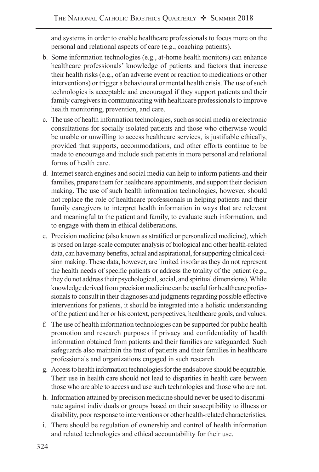and systems in order to enable healthcare professionals to focus more on the personal and relational aspects of care (e.g., coaching patients).

- b. Some information technologies (e.g., at-home health monitors) can enhance healthcare professionals' knowledge of patients and factors that increase their health risks (e.g., of an adverse event or reaction to medications or other interventions) or trigger a behavioural or mental health crisis. The use of such technologies is acceptable and encouraged if they support patients and their family caregivers in communicating with healthcare professionals to improve health monitoring, prevention, and care.
- c. The use of health information technologies, such as social media or electronic consultations for socially isolated patients and those who otherwise would be unable or unwilling to access healthcare services, is justifiable ethically, provided that supports, accommodations, and other efforts continue to be made to encourage and include such patients in more personal and relational forms of health care.
- d. Internet search engines and social media can help to inform patients and their families, prepare them for healthcare appointments, and support their decision making. The use of such health information technologies, however, should not replace the role of healthcare professionals in helping patients and their family caregivers to interpret health information in ways that are relevant and meaningful to the patient and family, to evaluate such information, and to engage with them in ethical deliberations.
- e. Precision medicine (also known as stratified or personalized medicine), which is based on large-scale computer analysis of biological and other health-related data, can have many benefits, actual and aspirational, for supporting clinical decision making. These data, however, are limited insofar as they do not represent the health needs of specific patients or address the totality of the patient (e.g., they do not address their psychological, social, and spiritual dimensions). While knowledge derived from precision medicine can be useful for healthcare professionals to consult in their diagnoses and judgments regarding possible effective interventions for patients, it should be integrated into a holistic understanding of the patient and her or his context, perspectives, healthcare goals, and values.
- f. The use of health information technologies can be supported for public health promotion and research purposes if privacy and confidentiality of health information obtained from patients and their families are safeguarded. Such safeguards also maintain the trust of patients and their families in healthcare professionals and organizations engaged in such research.
- g. Access to health information technologies for the ends above should be equitable. Their use in health care should not lead to disparities in health care between those who are able to access and use such technologies and those who are not.
- h. Information attained by precision medicine should never be used to discriminate against individuals or groups based on their susceptibility to illness or disability, poor response to interventions or other health-related characteristics.
- i. There should be regulation of ownership and control of health information and related technologies and ethical accountability for their use.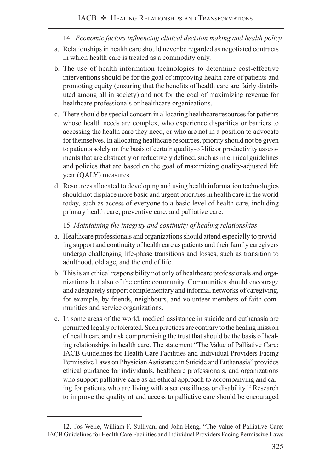- 14. *Economic factors influencing clinical decision making and health policy*
- a. Relationships in health care should never be regarded as negotiated contracts in which health care is treated as a commodity only.
- b. The use of health information technologies to determine cost-effective interventions should be for the goal of improving health care of patients and promoting equity (ensuring that the benefits of health care are fairly distributed among all in society) and not for the goal of maximizing revenue for healthcare professionals or healthcare organizations.
- c. There should be special concern in allocating healthcare resources for patients whose health needs are complex, who experience disparities or barriers to accessing the health care they need, or who are not in a position to advocate for themselves. In allocating healthcare resources, priority should not be given to patients solely on the basis of certain quality-of-life or productivity assessments that are abstractly or reductively defined, such as in clinical guidelines and policies that are based on the goal of maximizing quality-adjusted life year (QALY) measures.
- d. Resources allocated to developing and using health information technologies should not displace more basic and urgent priorities in health care in the world today, such as access of everyone to a basic level of health care, including primary health care, preventive care, and palliative care.

15. *Maintaining the integrity and continuity of healing relationships*

- a. Healthcare professionals and organizations should attend especially to providing support and continuity of health care as patients and their family caregivers undergo challenging life-phase transitions and losses, such as transition to adulthood, old age, and the end of life.
- b. This is an ethical responsibility not only of healthcare professionals and organizations but also of the entire community. Communities should encourage and adequately support complementary and informal networks of caregiving, for example, by friends, neighbours, and volunteer members of faith communities and service organizations.
- c. In some areas of the world, medical assistance in suicide and euthanasia are permitted legally or tolerated. Such practices are contrary to the healing mission of health care and risk compromising the trust that should be the basis of healing relationships in health care. The statement "The Value of Palliative Care: IACB Guidelines for Health Care Facilities and Individual Providers Facing Permissive Laws on Physician Assistance in Suicide and Euthanasia" provides ethical guidance for individuals, healthcare professionals, and organizations who support palliative care as an ethical approach to accompanying and caring for patients who are living with a serious illness or disability.<sup>12</sup> Research to improve the quality of and access to palliative care should be encouraged

<sup>12.</sup> Jos Welie, William F. Sullivan, and John Heng, "The Value of Palliative Care: IACB Guidelines for Health Care Facilities and Individual Providers Facing Permissive Laws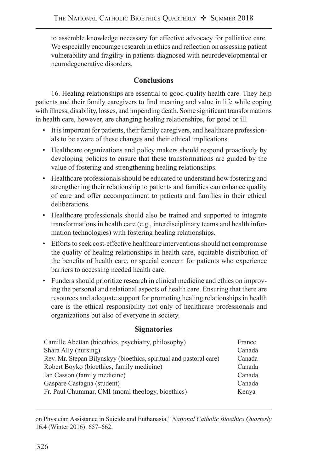to assemble knowledge necessary for effective advocacy for palliative care. We especially encourage research in ethics and reflection on assessing patient vulnerability and fragility in patients diagnosed with neurodevelopmental or neurodegenerative disorders.

## **Conclusions**

16. Healing relationships are essential to good-quality health care. They help patients and their family caregivers to find meaning and value in life while coping with illness, disability, losses, and impending death. Some significant transformations in health care, however, are changing healing relationships, for good or ill.

- It is important for patients, their family caregivers, and healthcare professionals to be aware of these changes and their ethical implications.
- Healthcare organizations and policy makers should respond proactively by developing policies to ensure that these transformations are guided by the value of fostering and strengthening healing relationships.
- Healthcare professionals should be educated to understand how fostering and strengthening their relationship to patients and families can enhance quality of care and offer accompaniment to patients and families in their ethical deliberations.
- Healthcare professionals should also be trained and supported to integrate transformations in health care (e.g., interdisciplinary teams and health information technologies) with fostering healing relationships.
- Efforts to seek cost-effective healthcare interventions should not compromise the quality of healing relationships in health care, equitable distribution of the benefits of health care, or special concern for patients who experience barriers to accessing needed health care.
- Funders should prioritize research in clinical medicine and ethics on improving the personal and relational aspects of health care. Ensuring that there are resources and adequate support for promoting healing relationships in health care is the ethical responsibility not only of healthcare professionals and organizations but also of everyone in society.

#### **Signatories**

| Camille Abettan (bioethics, psychiatry, philosophy)                | France |
|--------------------------------------------------------------------|--------|
| Shara Ally (nursing)                                               | Canada |
| Rev. Mr. Stepan Bilynskyy (bioethics, spiritual and pastoral care) | Canada |
| Robert Boyko (bioethics, family medicine)                          | Canada |
| Ian Casson (family medicine)                                       | Canada |
| Gaspare Castagna (student)                                         | Canada |
| Fr. Paul Chummar, CMI (moral theology, bioethics)                  | Kenya  |

on Physician Assistance in Suicide and Euthanasia," *National Catholic Bioethics Quarterly* 16.4 (Winter 2016): 657–662.